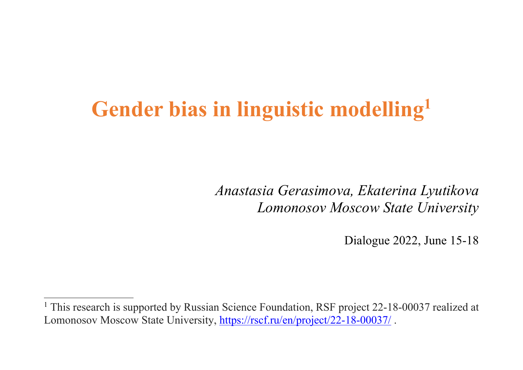# **Gender bias in linguistic modelling1**

*Anastasia Gerasimova, Ekaterina Lyutikova Lomonosov Moscow State University*

Dialogue 2022, June 15-18

<sup>&</sup>lt;sup>1</sup> This research is supported by Russian Science Foundation, RSF project 22-18-00037 realized at Lomonosov Moscow State University, https://rscf.ru/en/project/22-18-00037/.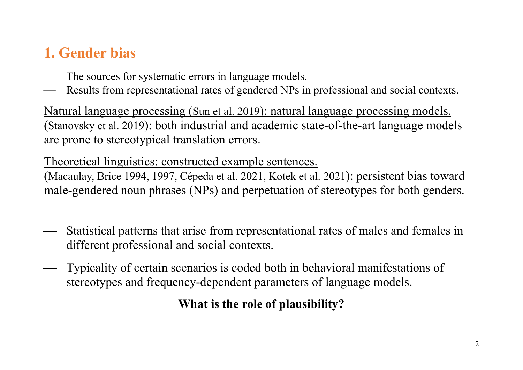# **1. Gender bias**

- The sources for systematic errors in language models.
- Results from representational rates of gendered NPs in professional and social contexts.

Natural language processing (Sun et al. 2019): natural language processing models. (Stanovsky et al. 2019): both industrial and academic state-of-the-art language models are prone to stereotypical translation errors.

Theoretical linguistics: constructed example sentences.

(Macaulay, Brice 1994, 1997, Cépeda et al. 2021, Kotek et al. 2021): persistent bias toward male-gendered noun phrases (NPs) and perpetuation of stereotypes for both genders.

- ¾ Statistical patterns that arise from representational rates of males and females in different professional and social contexts.
- ¾ Typicality of certain scenarios is coded both in behavioral manifestations of stereotypes and frequency-dependent parameters of language models.

**What is the role of plausibility?**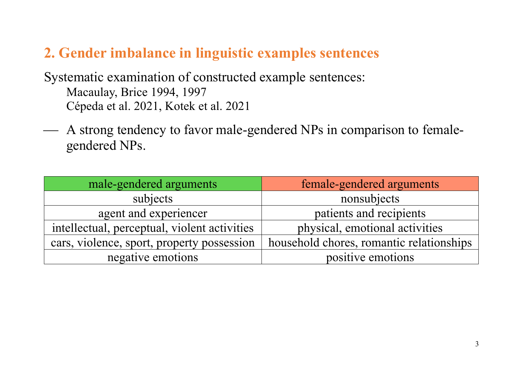#### **2. Gender imbalance in linguistic examples sentences**

Systematic examination of constructed example sentences: Macaulay, Brice 1994, 1997 Cépeda et al. 2021, Kotek et al. 2021

¾ A strong tendency to favor male-gendered NPs in comparison to femalegendered NPs.

| male-gendered arguments                      | female-gendered arguments                |
|----------------------------------------------|------------------------------------------|
| subjects                                     | nonsubjects                              |
| agent and experiencer                        | patients and recipients                  |
| intellectual, perceptual, violent activities | physical, emotional activities           |
| cars, violence, sport, property possession   | household chores, romantic relationships |
| negative emotions                            | positive emotions                        |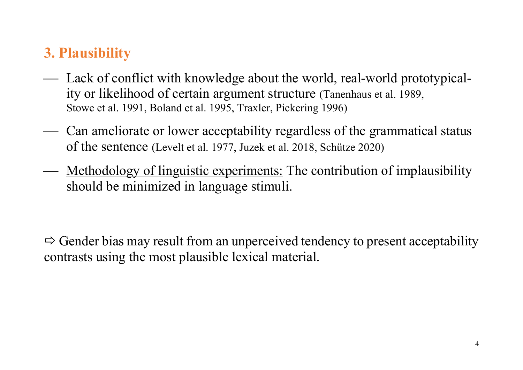## **3. Plausibility**

- Lack of conflict with knowledge about the world, real-world prototypicality or likelihood of certain argument structure (Tanenhaus et al. 1989, Stowe et al. 1991, Boland et al. 1995, Traxler, Pickering 1996)
- ¾ Can ameliorate or lower acceptability regardless of the grammatical status of the sentence (Levelt et al. 1977, Juzek et al. 2018, Schütze 2020)
- Methodology of linguistic experiments: The contribution of implausibility should be minimized in language stimuli.

 $\Rightarrow$  Gender bias may result from an unperceived tendency to present acceptability contrasts using the most plausible lexical material.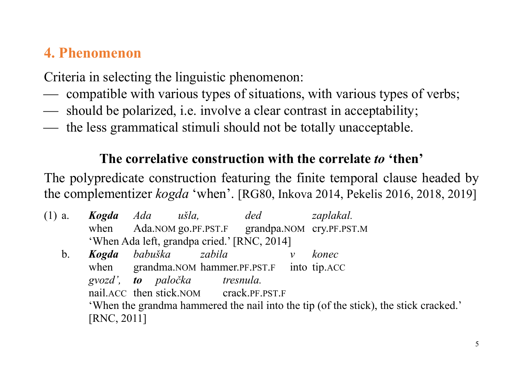## **4. Phenomenon**

Criteria in selecting the linguistic phenomenon:

- compatible with various types of situations, with various types of verbs;
- ¾ should be polarized, i.e. involve a clear contrast in acceptability;
- the less grammatical stimuli should not be totally unacceptable.

#### **The correlative construction with the correlate** *to* **'then'**

The polypredicate construction featuring the finite temporal clause headed by the complementizer *kogda* 'when'. [RG80, Inkova 2014, Pekelis 2016, 2018, 2019]

- (1) a. *Kogda Ada ušla, ded zaplakal.* when Ada.NOM go.PF.PST.F grandpa.NOM cry.PF.PST.M 'When Ada left, grandpa cried.' [RNC, 2014]
	- b. *Kogda babuška zabila v konec* when grandma.NOM hammer.PF.PST.F into tip.ACC *gvozd', to paločka tresnula.* nail.ACC then stick.NOM crack.PF.PST.F 'When the grandma hammered the nail into the tip (of the stick), the stick cracked.' [RNC, 2011]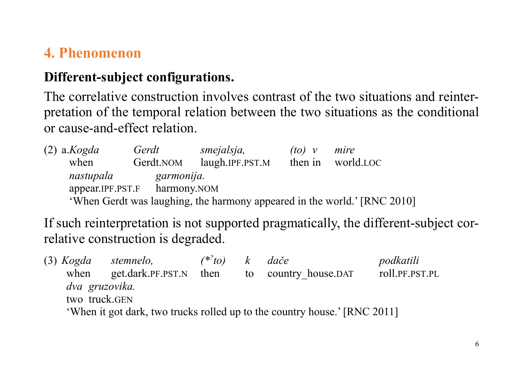## **4. Phenomenon**

#### **Different-subject configurations.**

The correlative construction involves contrast of the two situations and reinterpretation of the temporal relation between the two situations as the conditional or cause-and-effect relation.

| $(2)$ a. <i>Kogda</i> | Gerdt                        | smejalsja,                                                               | $(10)$ v | mire      |  |
|-----------------------|------------------------------|--------------------------------------------------------------------------|----------|-----------|--|
| when                  | Gerdt.NOM                    | laugh.IPF.PST.M                                                          | then in  | world.LOC |  |
| nastupala             | garmonija.                   |                                                                          |          |           |  |
|                       | appear.IPF.PST.F harmony.NOM |                                                                          |          |           |  |
|                       |                              | 'When Gerdt was laughing, the harmony appeared in the world.' [RNC 2010] |          |           |  |

If such reinterpretation is not supported pragmatically, the different-subject correlative construction is degraded.

|                                                                           | (3) Kogda stemnelo,         | $(**to)$ k dače |  |                      | podkatili      |  |  |
|---------------------------------------------------------------------------|-----------------------------|-----------------|--|----------------------|----------------|--|--|
|                                                                           | when get.dark.PF.PST.N then |                 |  | to country house.DAT | roll.PF.PST.PL |  |  |
| dva gruzovika.                                                            |                             |                 |  |                      |                |  |  |
| two truck.GEN                                                             |                             |                 |  |                      |                |  |  |
| 'When it got dark, two trucks rolled up to the country house.' [RNC 2011] |                             |                 |  |                      |                |  |  |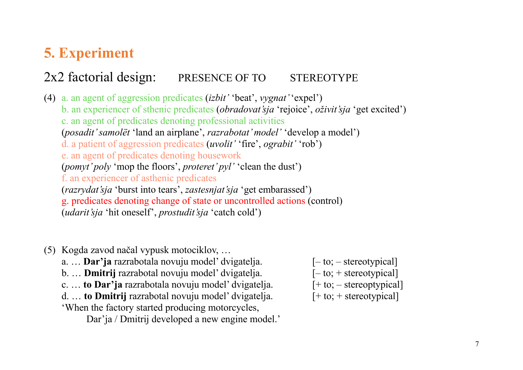## **5. Experiment**

#### 2x2 factorial design: PRESENCE OF TO STEREOTYPE

(4) a. an agent of aggression predicates (*izbit'* 'beat', *vygnat'* 'expel') b. an experiencer of sthenic predicates (*obradovat'sja* 'rejoice', *oživit'sja* 'get excited') c. an agent of predicates denoting professional activities (*posadit' samolёt* 'land an airplane', *razrabotat' model'* 'develop a model') d. a patient of aggression predicates (*uvolit'* 'fire', *ograbit'* 'rob') e. an agent of predicates denoting housework (*pomyt' poly* 'mop the floors', *proteret' pyl'* 'clean the dust') f. an experiencer of asthenic predicates (*razrydat'sja* 'burst into tears', *zastesnjat'sja* 'get embarassed') g. predicates denoting change of state or uncontrolled actions (control) (*udarit'sja* 'hit oneself', *prostudit'sja* 'catch cold')

- (5) Kogda zavod načal vypusk motociklov, …
	- a. ... **Dar'ja** razrabotala novuju model' dvigatelja. [-to; stereotypical]
	- b. ... **Dmitrij** razrabotal novuju model' dvigatelja. [-to; + stereotypical]
	- c. ... **to Dar'ja** razrabotala novuju model' dvigatelja. [+ to; stereoptypical]
	- d. … **to Dmitrij** razrabotal novuju model' dvigatelja. [+ to; + stereotypical]
	- 'When the factory started producing motorcycles,

Dar'ja / Dmitrij developed a new engine model.'

- 
- 
-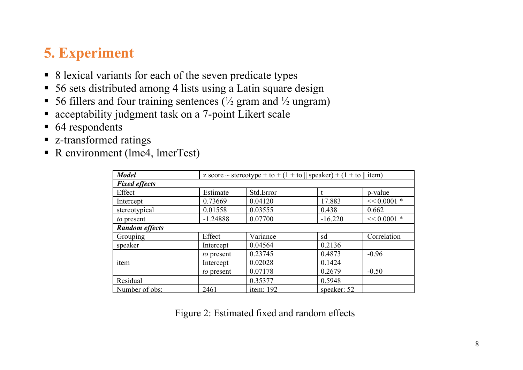## **5. Experiment**

- 8 lexical variants for each of the seven predicate types
- 56 sets distributed among 4 lists using a Latin square design
- 56 fillers and four training sentences ( $\frac{1}{2}$  gram and  $\frac{1}{2}$  ungram)
- acceptability judgment task on a 7-point Likert scale
- 64 respondents
- § z-transformed ratings
- R environment (lme4, lmerTest)

| <b>Model</b>          | z score ~ stereotype + to + (1 + to $\parallel$ speaker) + (1 + to $\parallel$ item) |           |             |               |  |  |  |
|-----------------------|--------------------------------------------------------------------------------------|-----------|-------------|---------------|--|--|--|
| <b>Fixed effects</b>  |                                                                                      |           |             |               |  |  |  |
| Effect                | Estimate                                                                             | Std.Error |             | p-value       |  |  |  |
| Intercept             | 0.73669                                                                              | 0.04120   | 17.883      | $<< 0.0001$ * |  |  |  |
| stereotypical         | 0.01558                                                                              | 0.03555   | 0.438       | 0.662         |  |  |  |
| to present            | $-1.24888$                                                                           | 0.07700   | $-16.220$   | $<< 0.0001$ * |  |  |  |
| <b>Random effects</b> |                                                                                      |           |             |               |  |  |  |
| Grouping              | Effect                                                                               | Variance  | sd          | Correlation   |  |  |  |
| speaker               | Intercept                                                                            | 0.04564   | 0.2136      |               |  |  |  |
|                       | to present                                                                           | 0.23745   | 0.4873      | $-0.96$       |  |  |  |
| item                  | Intercept                                                                            | 0.02028   | 0.1424      |               |  |  |  |
|                       | to present                                                                           | 0.07178   | 0.2679      | $-0.50$       |  |  |  |
| Residual              |                                                                                      | 0.35377   | 0.5948      |               |  |  |  |
| Number of obs:        | 2461                                                                                 | item: 192 | speaker: 52 |               |  |  |  |

Figure 2: Estimated fixed and random effects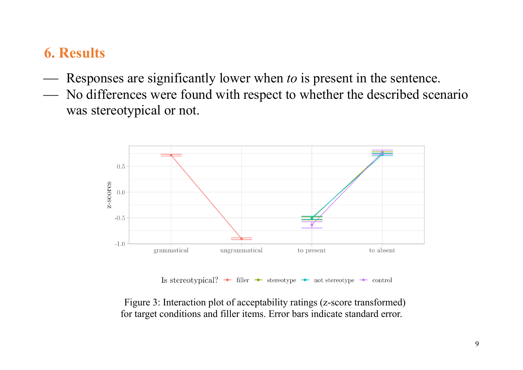## **6. Results**

- ¾ Responses are significantly lower when *to* is present in the sentence.
- ¾ No differences were found with respect to whether the described scenario was stereotypical or not.



Figure 3: Interaction plot of acceptability ratings (z-score transformed) for target conditions and filler items. Error bars indicate standard error.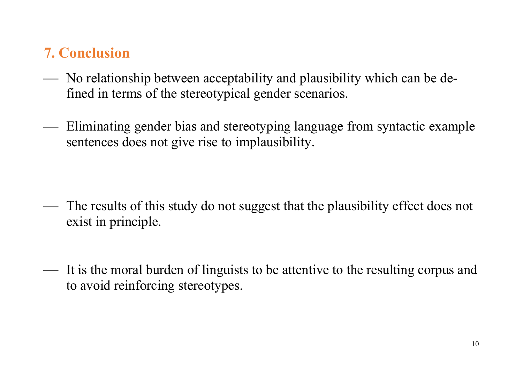# **7. Conclusion**

- ¾ No relationship between acceptability and plausibility which can be defined in terms of the stereotypical gender scenarios.
- ¾ Eliminating gender bias and stereotyping language from syntactic example sentences does not give rise to implausibility.

- The results of this study do not suggest that the plausibility effect does not exist in principle.
- ¾ It is the moral burden of linguists to be attentive to the resulting corpus and to avoid reinforcing stereotypes.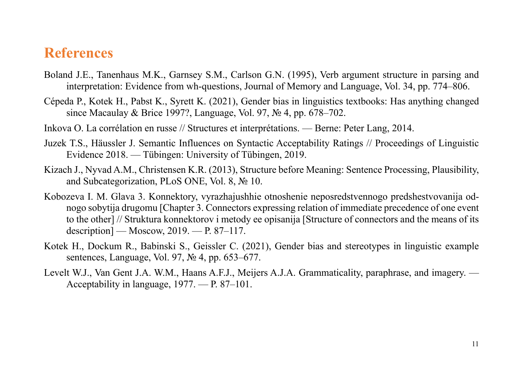#### **References**

- Boland J.E., Tanenhaus M.K., Garnsey S.M., Carlson G.N. (1995), Verb argument structure in parsing and interpretation: Evidence from wh-questions, Journal of Memory and Language, Vol. 34, pp. 774–806.
- Cépeda P., Kotek H., Pabst K., Syrett K. (2021), Gender bias in linguistics textbooks: Has anything changed since Macaulay & Brice 1997?, Language, Vol. 97, № 4, pp. 678–702.
- Inkova O. La corrélation en russe // Structures et interprétations. Berne: Peter Lang, 2014.
- Juzek T.S., Häussler J. Semantic Influences on Syntactic Acceptability Ratings // Proceedings of Linguistic Evidence 2018. — Tübingen: University of Tübingen, 2019.
- Kizach J., Nyvad A.M., Christensen K.R. (2013), Structure before Meaning: Sentence Processing, Plausibility, and Subcategorization, PLoS ONE, Vol. 8, № 10.
- Kobozeva I. M. Glava 3. Konnektory, vyrazhajushhie otnoshenie neposredstvennogo predshestvovanija odnogo sobytija drugomu [Chapter 3. Connectors expressing relation of immediate precedence of one event to the other] // Struktura konnektorov i metody ee opisanija [Structure of connectors and the means of its description] — Moscow, 2019. — P. 87–117.
- Kotek H., Dockum R., Babinski S., Geissler C. (2021), Gender bias and stereotypes in linguistic example sentences, Language, Vol. 97, № 4, pp. 653–677.
- Levelt W.J., Van Gent J.A. W.M., Haans A.F.J., Meijers A.J.A. Grammaticality, paraphrase, and imagery. Acceptability in language, 1977. — P. 87–101.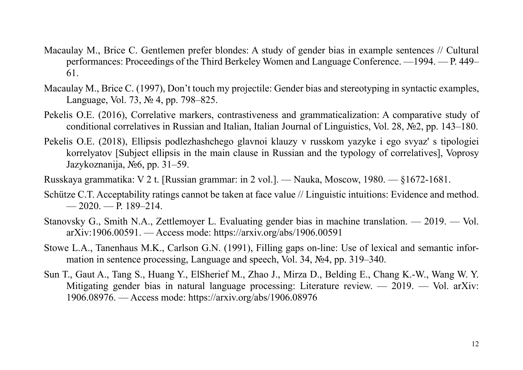- Macaulay M., Brice C. Gentlemen prefer blondes: A study of gender bias in example sentences // Cultural performances: Proceedings of the Third Berkeley Women and Language Conference. —1994. — P. 449– 61.
- Macaulay M., Brice C. (1997), Don't touch my projectile: Gender bias and stereotyping in syntactic examples, Language, Vol. 73, № 4, pp. 798–825.
- Pekelis O.E. (2016), Correlative markers, contrastiveness and grammaticalization: A comparative study of conditional correlatives in Russian and Italian, Italian Journal of Linguistics, Vol. 28, №2, pp. 143–180.
- Pekelis O.E. (2018), Ellipsis podlezhashchego glavnoi klauzy v russkom yazyke i ego svyaz' s tipologiei korrelyatov [Subject ellipsis in the main clause in Russian and the typology of correlatives], Voprosy Jazykoznanija, №6, pp. 31–59.
- Russkaya grammatika: V 2 t. [Russian grammar: in 2 vol.]. Nauka, Moscow, 1980. §1672-1681.
- Schütze C.T. Acceptability ratings cannot be taken at face value // Linguistic intuitions: Evidence and method.  $-2020$ ,  $- P. 189 - 214$ .
- Stanovsky G., Smith N.A., Zettlemoyer L. Evaluating gender bias in machine translation. 2019. Vol. arXiv:1906.00591. — Access mode: https://arxiv.org/abs/1906.00591
- Stowe L.A., Tanenhaus M.K., Carlson G.N. (1991), Filling gaps on-line: Use of lexical and semantic information in sentence processing, Language and speech, Vol. 34, №4, pp. 319–340.
- Sun T., Gaut A., Tang S., Huang Y., ElSherief M., Zhao J., Mirza D., Belding E., Chang K.-W., Wang W. Y. Mitigating gender bias in natural language processing: Literature review. — 2019. — Vol. arXiv: 1906.08976. — Access mode: https://arxiv.org/abs/1906.08976